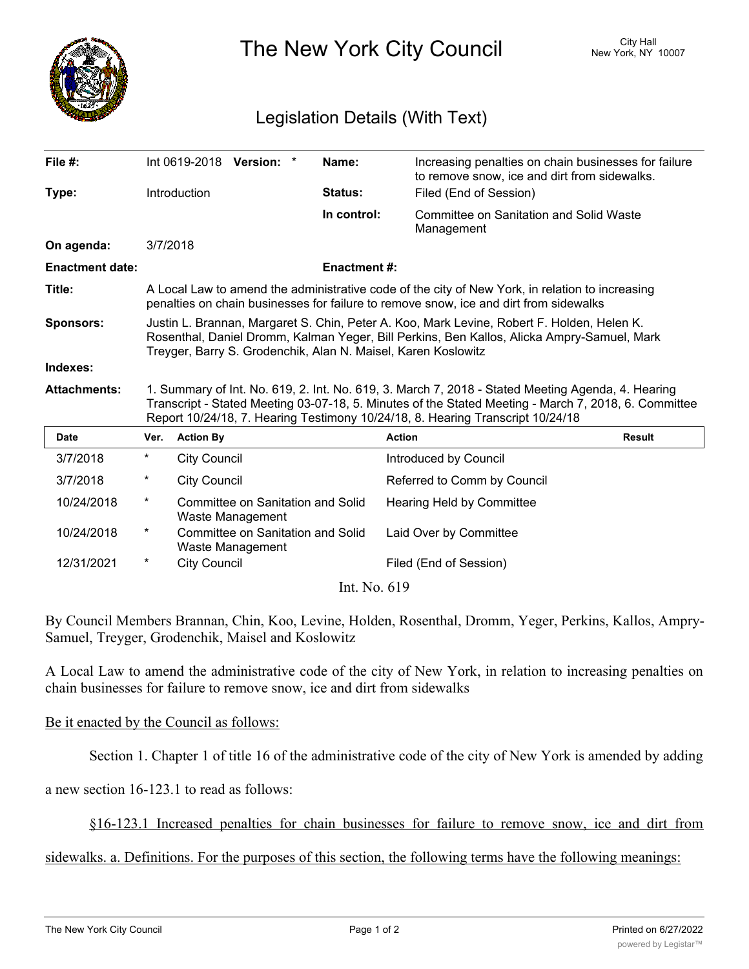

The New York City Council New York, NY 10007

## Legislation Details (With Text)

| File #:                |                                                                                                                                                                                                                                                                                             | Int 0619-2018 Version: * |                                                       |  | Name:        | Increasing penalties on chain businesses for failure<br>to remove snow, ice and dirt from sidewalks. |               |
|------------------------|---------------------------------------------------------------------------------------------------------------------------------------------------------------------------------------------------------------------------------------------------------------------------------------------|--------------------------|-------------------------------------------------------|--|--------------|------------------------------------------------------------------------------------------------------|---------------|
| Type:                  |                                                                                                                                                                                                                                                                                             | Introduction             |                                                       |  | Status:      | Filed (End of Session)                                                                               |               |
|                        |                                                                                                                                                                                                                                                                                             |                          |                                                       |  | In control:  | <b>Committee on Sanitation and Solid Waste</b><br>Management                                         |               |
| On agenda:             | 3/7/2018                                                                                                                                                                                                                                                                                    |                          |                                                       |  |              |                                                                                                      |               |
| <b>Enactment date:</b> | <b>Enactment #:</b>                                                                                                                                                                                                                                                                         |                          |                                                       |  |              |                                                                                                      |               |
| Title:                 | A Local Law to amend the administrative code of the city of New York, in relation to increasing<br>penalties on chain businesses for failure to remove snow, ice and dirt from sidewalks                                                                                                    |                          |                                                       |  |              |                                                                                                      |               |
| Sponsors:              | Justin L. Brannan, Margaret S. Chin, Peter A. Koo, Mark Levine, Robert F. Holden, Helen K.<br>Rosenthal, Daniel Dromm, Kalman Yeger, Bill Perkins, Ben Kallos, Alicka Ampry-Samuel, Mark<br>Treyger, Barry S. Grodenchik, Alan N. Maisel, Karen Koslowitz                                   |                          |                                                       |  |              |                                                                                                      |               |
| Indexes:               |                                                                                                                                                                                                                                                                                             |                          |                                                       |  |              |                                                                                                      |               |
| <b>Attachments:</b>    | 1. Summary of Int. No. 619, 2. Int. No. 619, 3. March 7, 2018 - Stated Meeting Agenda, 4. Hearing<br>Transcript - Stated Meeting 03-07-18, 5. Minutes of the Stated Meeting - March 7, 2018, 6. Committee<br>Report 10/24/18, 7. Hearing Testimony 10/24/18, 8. Hearing Transcript 10/24/18 |                          |                                                       |  |              |                                                                                                      |               |
| <b>Date</b>            | Ver.                                                                                                                                                                                                                                                                                        | <b>Action By</b>         |                                                       |  |              | <b>Action</b>                                                                                        | <b>Result</b> |
| 3/7/2018               | $^\star$                                                                                                                                                                                                                                                                                    | <b>City Council</b>      |                                                       |  |              | Introduced by Council                                                                                |               |
| 3/7/2018               | *                                                                                                                                                                                                                                                                                           | <b>City Council</b>      |                                                       |  |              | Referred to Comm by Council                                                                          |               |
| 10/24/2018             | $^\star$                                                                                                                                                                                                                                                                                    |                          | Committee on Sanitation and Solid<br>Waste Management |  |              | Hearing Held by Committee                                                                            |               |
| 10/24/2018             | $^\star$                                                                                                                                                                                                                                                                                    |                          | Committee on Sanitation and Solid<br>Waste Management |  |              | Laid Over by Committee                                                                               |               |
| 12/31/2021             | $^\star$                                                                                                                                                                                                                                                                                    | <b>City Council</b>      |                                                       |  |              | Filed (End of Session)                                                                               |               |
|                        |                                                                                                                                                                                                                                                                                             |                          |                                                       |  | Int. No. 619 |                                                                                                      |               |

By Council Members Brannan, Chin, Koo, Levine, Holden, Rosenthal, Dromm, Yeger, Perkins, Kallos, Ampry-Samuel, Treyger, Grodenchik, Maisel and Koslowitz

A Local Law to amend the administrative code of the city of New York, in relation to increasing penalties on chain businesses for failure to remove snow, ice and dirt from sidewalks

## Be it enacted by the Council as follows:

Section 1. Chapter 1 of title 16 of the administrative code of the city of New York is amended by adding

a new section 16-123.1 to read as follows:

§16-123.1 Increased penalties for chain businesses for failure to remove snow, ice and dirt from

## sidewalks. a. Definitions. For the purposes of this section, the following terms have the following meanings: